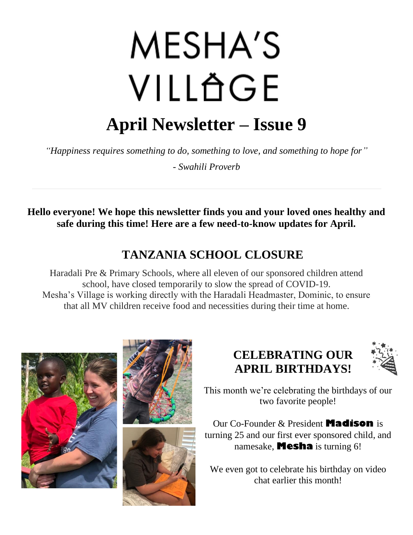# **MESHA'S** VILLÄGE **April Newsletter – Issue 9**

*"Happiness requires something to do, something to love, and something to hope for"*

*- Swahili Proverb*

**Hello everyone! We hope this newsletter finds you and your loved ones healthy and safe during this time! Here are a few need-to-know updates for April.**

## **TANZANIA SCHOOL CLOSURE**

Haradali Pre & Primary Schools, where all eleven of our sponsored children attend school, have closed temporarily to slow the spread of COVID-19. Mesha's Village is working directly with the Haradali Headmaster, Dominic, to ensure that all MV children receive food and necessities during their time at home.





## **CELEBRATING OUR APRIL BIRTHDAYS!**



This month we're celebrating the birthdays of our two favorite people!

Our Co-Founder & President **Madison** is turning 25 and our first ever sponsored child, and namesake, **Mesha** is turning 6!

We even got to celebrate his birthday on video chat earlier this month!